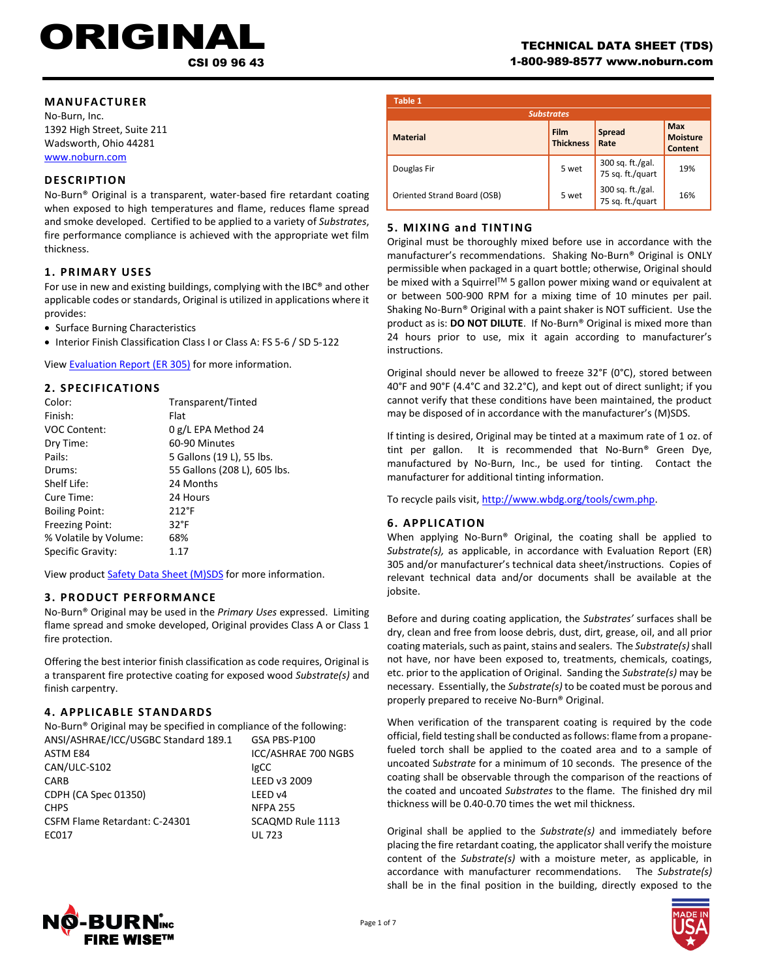# RIGINA

CSI 09 96 43

### **MANUFACTURER**

No-Burn, Inc. 1392 High Street, Suite 211 Wadsworth, Ohio 44281 [www.noburn.com](http://www.noburn.com/)

### **DESCRIPTION**

No-Burn® Original is a transparent, water-based fire retardant coating when exposed to high temperatures and flame, reduces flame spread and smoke developed. Certified to be applied to a variety of *Substrates*, fire performance compliance is achieved with the appropriate wet film thickness.

### **1. PRIM ARY USES**

For use in new and existing buildings, complying with the IBC® and other applicable codes or standards, Original is utilized in applications where it provides:

- Surface Burning Characteristics
- Interior Finish Classification Class I or Class A: FS 5-6 / SD 5-122

View [Evaluation Report \(ER 305\)](http://noburn.com/images/pdf/er305.pdf) for more information.

### **2. SPECIFICATIONS**

| Color:                 | Transparent/Tinted           |
|------------------------|------------------------------|
| Finish:                | Flat                         |
| <b>VOC Content:</b>    | 0 g/L EPA Method 24          |
| Dry Time:              | 60-90 Minutes                |
| Pails:                 | 5 Gallons (19 L), 55 lbs.    |
| Drums:                 | 55 Gallons (208 L), 605 lbs. |
| Shelf Life:            | 24 Months                    |
| Cure Time:             | 24 Hours                     |
| <b>Boiling Point:</b>  | $212^{\circ}F$               |
| <b>Freezing Point:</b> | $32^{\circ}F$                |
| % Volatile by Volume:  | 68%                          |
| Specific Gravity:      | 1.17                         |

View product [Safety Data Sheet \(M\)SDS](http://noburn.com/images/pdf/originalmsds.pdf) for more information.

### **3. PRODUCT PERFORM ANCE**

No-Burn® Original may be used in the *Primary Uses* expressed. Limiting flame spread and smoke developed, Original provides Class A or Class 1 fire protection.

Offering the best interior finish classification as code requires, Original is a transparent fire protective coating for exposed wood *Substrate(s)* and finish carpentry.

### **4. APPLICAB LE STANDARDS**

| No-Burn <sup>®</sup> Original may be specified in compliance of the following: |                         |  |
|--------------------------------------------------------------------------------|-------------------------|--|
| ANSI/ASHRAE/ICC/USGBC Standard 189.1                                           | GSA PBS-P100            |  |
| ASTM E84                                                                       | ICC/ASHRAE 700 NGBS     |  |
| CAN/ULC-S102                                                                   | <b>IgCC</b>             |  |
| CARB                                                                           | LEED v3 2009            |  |
| CDPH (CA Spec 01350)                                                           | I FFD v4                |  |
| <b>CHPS</b>                                                                    | <b>NFPA 255</b>         |  |
| CSFM Flame Retardant: C-24301                                                  | <b>SCAQMD Rule 1113</b> |  |
| EC017                                                                          | <b>UL 723</b>           |  |

| Table 1                     | <b>Substrates</b>        |                                      |                                          |
|-----------------------------|--------------------------|--------------------------------------|------------------------------------------|
| <b>Material</b>             | Film<br><b>Thickness</b> | Spread<br>Rate                       | <b>Max</b><br><b>Moisture</b><br>Content |
| Douglas Fir                 | 5 wet                    | 300 sq. ft./gal.<br>75 sq. ft./quart | 19%                                      |
| Oriented Strand Board (OSB) | 5 wet                    | 300 sq. ft./gal.<br>75 sq. ft./quart | 16%                                      |

### **5. MIXING and TINTING**

Original must be thoroughly mixed before use in accordance with the manufacturer's recommendations. Shaking No-Burn® Original is ONLY permissible when packaged in a quart bottle; otherwise, Original should be mixed with a Squirrel™ 5 gallon power mixing wand or equivalent at or between 500-900 RPM for a mixing time of 10 minutes per pail. Shaking No-Burn® Original with a paint shaker is NOT sufficient. Use the product as is: **DO NOT DILUTE**. If No-Burn® Original is mixed more than 24 hours prior to use, mix it again according to manufacturer's instructions.

Original should never be allowed to freeze 32°F (0°C), stored between 40°F and 90°F (4.4°C and 32.2°C), and kept out of direct sunlight; if you cannot verify that these conditions have been maintained, the product may be disposed of in accordance with the manufacturer's (M)SDS.

If tinting is desired, Original may be tinted at a maximum rate of 1 oz. of tint per gallon. It is recommended that No-Burn® Green Dye, manufactured by No-Burn, Inc., be used for tinting. Contact the manufacturer for additional tinting information.

To recycle pails visit, http://www.wbdg.org/tools/cwm.php.

### **6. APPLICATION**

When applying No-Burn® Original, the coating shall be applied to *Substrate(s),* as applicable, in accordance with Evaluation Report (ER) 305 and/or manufacturer's technical data sheet/instructions. Copies of relevant technical data and/or documents shall be available at the jobsite.

Before and during coating application, the *Substrates'* surfaces shall be dry, clean and free from loose debris, dust, dirt, grease, oil, and all prior coating materials, such as paint, stains and sealers. The *Substrate(s)* shall not have, nor have been exposed to, treatments, chemicals, coatings, etc. prior to the application of Original. Sanding the *Substrate(s)* may be necessary. Essentially, the *Substrate(s)* to be coated must be porous and properly prepared to receive No-Burn® Original.

When verification of the transparent coating is required by the code official, field testing shall be conducted as follows: flame from a propanefueled torch shall be applied to the coated area and to a sample of uncoated S*ubstrate* for a minimum of 10 seconds. The presence of the coating shall be observable through the comparison of the reactions of the coated and uncoated *Substrates* to the flame. The finished dry mil thickness will be 0.40-0.70 times the wet mil thickness.

Original shall be applied to the *Substrate(s)* and immediately before placing the fire retardant coating, the applicator shall verify the moisture content of the *Substrate(s)* with a moisture meter, as applicable, in accordance with manufacturer recommendations. The *Substrate(s)* shall be in the final position in the building, directly exposed to the



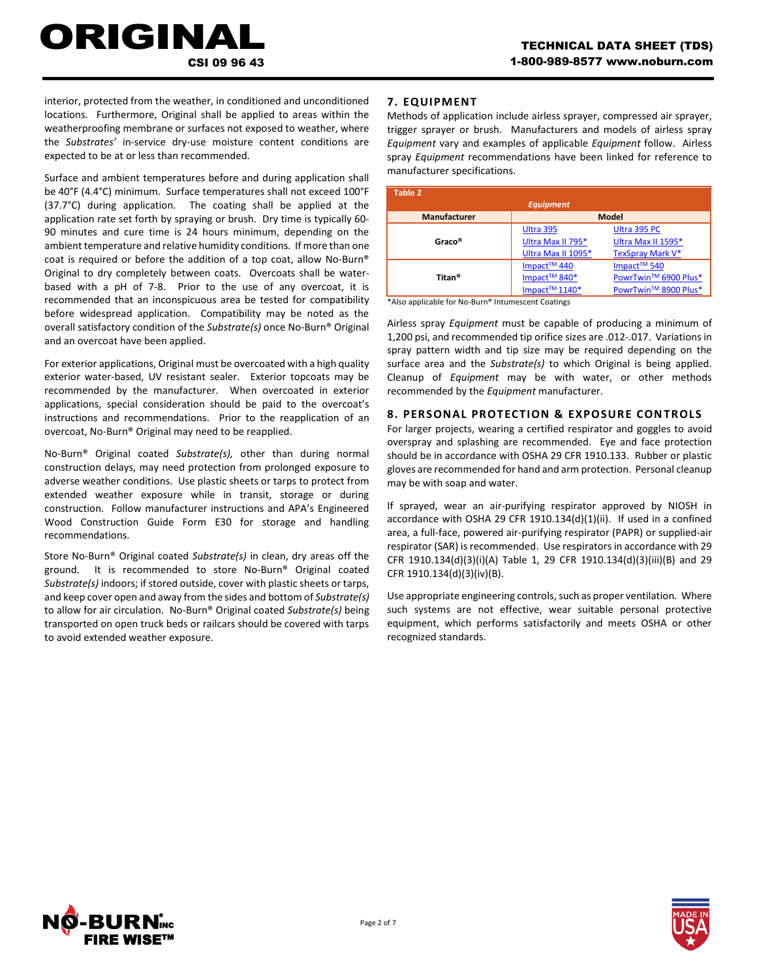interior, protected from the weather, in conditioned and unconditioned locations. Furthermore, Original shall be applied to areas within the weatherproofing membrane or surfaces not exposed to weather, where the *Substrates'* in-service dry-use moisture content conditions are expected to be at or less than recommended.

CSI 09 96 43

ORIGINAL

Surface and ambient temperatures before and during application shall be 40°F (4.4°C) minimum. Surface temperatures shall not exceed 100°F (37.7°C) during application. The coating shall be applied at the application rate set forth by spraying or brush. Dry time is typically 60- 90 minutes and cure time is 24 hours minimum, depending on the ambient temperature and relative humidity conditions. If more than one coat is required or before the addition of a top coat, allow No-Burn® Original to dry completely between coats. Overcoats shall be waterbased with a pH of 7-8. Prior to the use of any overcoat, it is recommended that an inconspicuous area be tested for compatibility before widespread application. Compatibility may be noted as the overall satisfactory condition of the *Substrate(s)* once No-Burn® Original and an overcoat have been applied.

For exterior applications, Original must be overcoated with a high quality exterior water-based, UV resistant sealer. Exterior topcoats may be recommended by the manufacturer. When overcoated in exterior applications, special consideration should be paid to the overcoat's instructions and recommendations. Prior to the reapplication of an overcoat, No-Burn® Original may need to be reapplied.

No‐Burn® Original coated *Substrate(s),* other than during normal construction delays, may need protection from prolonged exposure to adverse weather conditions. Use plastic sheets or tarps to protect from extended weather exposure while in transit, storage or during construction. Follow manufacturer instructions and APA's Engineered Wood Construction Guide Form E30 for storage and handling recommendations.

Store No‐Burn® Original coated *Substrate(s)* in clean, dry areas off the ground. It is recommended to store No‐Burn® Original coated *Substrate(s)* indoors; if stored outside, cover with plastic sheets or tarps, and keep cover open and away from the sides and bottom of *Substrate(s)* to allow for air circulation. No‐Burn® Original coated *Substrate(s)* being transported on open truck beds or railcars should be covered with tarps to avoid extended weather exposure.

### **7. EQUIPM ENT**

Methods of application include airless sprayer, compressed air sprayer, trigger sprayer or brush. Manufacturers and models of airless spray *Equipment* vary and examples of applicable *Equipment* follow. Airless spray *Equipment* recommendations have been linked for reference to manufacturer specifications.

| Table 2                             |                                       |                         |  |
|-------------------------------------|---------------------------------------|-------------------------|--|
| <b>Equipment</b>                    |                                       |                         |  |
| <b>Model</b><br><b>Manufacturer</b> |                                       |                         |  |
|                                     | Ultra 395                             | Ultra 395 PC            |  |
| Graco®                              | Ultra Max II 795*                     | Ultra Max II 1595*      |  |
|                                     | Ultra Max II 1095*                    | <b>TexSpray Mark V*</b> |  |
|                                     | Impact <sup>™</sup> 440               | Impact <sup>™</sup> 540 |  |
| Titan <sup>®</sup>                  | Impact <sup>™</sup> 840 <sup>*</sup>  | PowrTwin™ 6900 Plus*    |  |
|                                     | Impact <sup>™</sup> 1140 <sup>*</sup> | PowrTwin™ 8900 Plus*    |  |

\*Also applicable for No-Burn® Intumescent Coatings

Airless spray *Equipment* must be capable of producing a minimum of 1,200 psi, and recommended tip orifice sizes are .012-.017. Variations in spray pattern width and tip size may be required depending on the surface area and the *Substrate(s)* to which Original is being applied. Cleanup of *Equipment* may be with water, or other methods recommended by the *Equipment* manufacturer.

### **8. PERSONAL PROTECTION & EXPOSURE CONTROLS**

For larger projects, wearing a certified respirator and goggles to avoid overspray and splashing are recommended. Eye and face protection should be in accordance with OSHA 29 CFR 1910.133. Rubber or plastic gloves are recommended for hand and arm protection. Personal cleanup may be with soap and water.

If sprayed, wear an air-purifying respirator approved by NIOSH in accordance with OSHA 29 CFR 1910.134(d)(1)(ii). If used in a confined area, a full-face, powered air-purifying respirator (PAPR) or supplied-air respirator (SAR) is recommended. Use respirators in accordance with 29 CFR 1910.134(d)(3)(i)(A) Table 1, 29 CFR 1910.134(d)(3)(iii)(B) and 29 CFR 1910.134(d)(3)(iv)(B).

Use appropriate engineering controls, such as proper ventilation. Where such systems are not effective, wear suitable personal protective equipment, which performs satisfactorily and meets OSHA or other recognized standards.



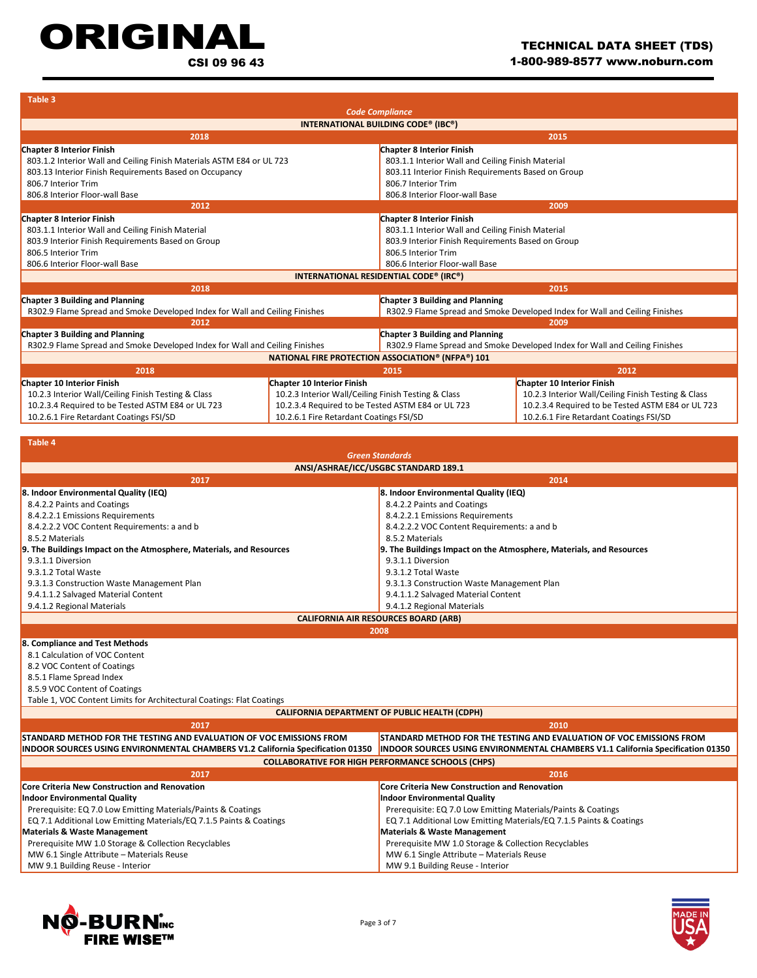# ORIGINAL

CSI 09 96 43

| Table 3                                                                     |                                                     |                                                                             |                                                                             |  |
|-----------------------------------------------------------------------------|-----------------------------------------------------|-----------------------------------------------------------------------------|-----------------------------------------------------------------------------|--|
| <b>Code Compliance</b>                                                      |                                                     |                                                                             |                                                                             |  |
| INTERNATIONAL BUILDING CODE® (IBC®)                                         |                                                     |                                                                             |                                                                             |  |
| 2018                                                                        |                                                     |                                                                             | 2015                                                                        |  |
| <b>Chapter 8 Interior Finish</b>                                            |                                                     | <b>Chapter 8 Interior Finish</b>                                            |                                                                             |  |
| 803.1.2 Interior Wall and Ceiling Finish Materials ASTM E84 or UL 723       |                                                     | 803.1.1 Interior Wall and Ceiling Finish Material                           |                                                                             |  |
| 803.13 Interior Finish Requirements Based on Occupancy                      |                                                     | 803.11 Interior Finish Requirements Based on Group                          |                                                                             |  |
| 806.7 Interior Trim                                                         |                                                     | 806.7 Interior Trim                                                         |                                                                             |  |
| 806.8 Interior Floor-wall Base                                              |                                                     | 806.8 Interior Floor-wall Base                                              |                                                                             |  |
| 2012                                                                        |                                                     |                                                                             | 2009                                                                        |  |
| <b>Chapter 8 Interior Finish</b>                                            |                                                     | <b>Chapter 8 Interior Finish</b>                                            |                                                                             |  |
| 803.1.1 Interior Wall and Ceiling Finish Material                           |                                                     | 803.1.1 Interior Wall and Ceiling Finish Material                           |                                                                             |  |
| 803.9 Interior Finish Requirements Based on Group                           |                                                     | 803.9 Interior Finish Requirements Based on Group                           |                                                                             |  |
| 806.5 Interior Trim                                                         |                                                     | 806.5 Interior Trim                                                         |                                                                             |  |
| 806.6 Interior Floor-wall Base                                              |                                                     | 806.6 Interior Floor-wall Base                                              |                                                                             |  |
|                                                                             |                                                     | INTERNATIONAL RESIDENTIAL CODE® (IRC®)                                      |                                                                             |  |
| 2018                                                                        |                                                     |                                                                             | 2015                                                                        |  |
| Chapter 3 Building and Planning                                             |                                                     | Chapter 3 Building and Planning                                             |                                                                             |  |
| R302.9 Flame Spread and Smoke Developed Index for Wall and Ceiling Finishes |                                                     | R302.9 Flame Spread and Smoke Developed Index for Wall and Ceiling Finishes |                                                                             |  |
| 2012                                                                        |                                                     |                                                                             | 2009                                                                        |  |
| Chapter 3 Building and Planning<br>Chapter 3 Building and Planning          |                                                     |                                                                             |                                                                             |  |
| R302.9 Flame Spread and Smoke Developed Index for Wall and Ceiling Finishes |                                                     |                                                                             | R302.9 Flame Spread and Smoke Developed Index for Wall and Ceiling Finishes |  |
|                                                                             |                                                     | <b>NATIONAL FIRE PROTECTION ASSOCIATION® (NFPA®) 101</b>                    |                                                                             |  |
| 2018                                                                        |                                                     | 2015                                                                        | 2012                                                                        |  |
| Chapter 10 Interior Finish                                                  | Chapter 10 Interior Finish                          |                                                                             | <b>Chapter 10 Interior Finish</b>                                           |  |
| 10.2.3 Interior Wall/Ceiling Finish Testing & Class                         | 10.2.3 Interior Wall/Ceiling Finish Testing & Class |                                                                             | 10.2.3 Interior Wall/Ceiling Finish Testing & Class                         |  |
| 10.2.3.4 Required to be Tested ASTM E84 or UL 723                           | 10.2.3.4 Required to be Tested ASTM E84 or UL 723   |                                                                             | 10.2.3.4 Required to be Tested ASTM E84 or UL 723                           |  |
| 10.2.6.1 Fire Retardant Coatings FSI/SD                                     | 10.2.6.1 Fire Retardant Coatings FSI/SD             |                                                                             | 10.2.6.1 Fire Retardant Coatings FSI/SD                                     |  |

| <b>Table 4</b>                                                                  |                                                                                        |  |  |
|---------------------------------------------------------------------------------|----------------------------------------------------------------------------------------|--|--|
| <b>Green Standards</b>                                                          |                                                                                        |  |  |
| ANSI/ASHRAE/ICC/USGBC STANDARD 189.1                                            |                                                                                        |  |  |
| 2017                                                                            | 2014                                                                                   |  |  |
| 8. Indoor Environmental Quality (IEQ)                                           | 8. Indoor Environmental Quality (IEQ)                                                  |  |  |
| 8.4.2.2 Paints and Coatings                                                     | 8.4.2.2 Paints and Coatings                                                            |  |  |
| 8.4.2.2.1 Emissions Requirements                                                | 8.4.2.2.1 Emissions Requirements                                                       |  |  |
| 8.4.2.2.2 VOC Content Requirements: a and b                                     | 8.4.2.2.2 VOC Content Requirements: a and b                                            |  |  |
| 8.5.2 Materials                                                                 | 8.5.2 Materials                                                                        |  |  |
| 9. The Buildings Impact on the Atmosphere, Materials, and Resources             | 9. The Buildings Impact on the Atmosphere, Materials, and Resources                    |  |  |
| 9.3.1.1 Diversion                                                               | 9.3.1.1 Diversion                                                                      |  |  |
| 9.3.1.2 Total Waste                                                             | 9.3.1.2 Total Waste                                                                    |  |  |
| 9.3.1.3 Construction Waste Management Plan                                      | 9.3.1.3 Construction Waste Management Plan                                             |  |  |
| 9.4.1.1.2 Salvaged Material Content                                             | 9.4.1.1.2 Salvaged Material Content                                                    |  |  |
| 9.4.1.2 Regional Materials                                                      | 9.4.1.2 Regional Materials                                                             |  |  |
|                                                                                 | <b>CALIFORNIA AIR RESOURCES BOARD (ARB)</b>                                            |  |  |
|                                                                                 | 2008                                                                                   |  |  |
| 8. Compliance and Test Methods                                                  |                                                                                        |  |  |
| 8.1 Calculation of VOC Content                                                  |                                                                                        |  |  |
| 8.2 VOC Content of Coatings                                                     |                                                                                        |  |  |
| 8.5.1 Flame Spread Index                                                        |                                                                                        |  |  |
| 8.5.9 VOC Content of Coatings                                                   |                                                                                        |  |  |
| Table 1, VOC Content Limits for Architectural Coatings: Flat Coatings           |                                                                                        |  |  |
|                                                                                 | <b>CALIFORNIA DEPARTMENT OF PUBLIC HEALTH (CDPH)</b>                                   |  |  |
| 2017                                                                            | 2010                                                                                   |  |  |
| STANDARD METHOD FOR THE TESTING AND EVALUATION OF VOC EMISSIONS FROM            | STANDARD METHOD FOR THE TESTING AND EVALUATION OF VOC EMISSIONS FROM                   |  |  |
| INDOOR SOURCES USING ENVIRONMENTAL CHAMBERS V1.2 California Specification 01350 | <b>INDOOR SOURCES USING ENVIRONMENTAL CHAMBERS V1.1 California Specification 01350</b> |  |  |
|                                                                                 | <b>COLLABORATIVE FOR HIGH PERFORMANCE SCHOOLS (CHPS)</b>                               |  |  |
| 2017                                                                            | 2016                                                                                   |  |  |
| Core Criteria New Construction and Renovation                                   | <b>Core Criteria New Construction and Renovation</b>                                   |  |  |
| <b>Indoor Environmental Quality</b>                                             | Indoor Environmental Quality                                                           |  |  |
| Prerequisite: EQ 7.0 Low Emitting Materials/Paints & Coatings                   | Prerequisite: EQ 7.0 Low Emitting Materials/Paints & Coatings                          |  |  |
| EQ 7.1 Additional Low Emitting Materials/EQ 7.1.5 Paints & Coatings             | EQ 7.1 Additional Low Emitting Materials/EQ 7.1.5 Paints & Coatings                    |  |  |
| <b>Materials &amp; Waste Management</b>                                         | <b>Materials &amp; Waste Management</b>                                                |  |  |
| Prerequisite MW 1.0 Storage & Collection Recyclables                            | Prerequisite MW 1.0 Storage & Collection Recyclables                                   |  |  |
| MW 6.1 Single Attribute - Materials Reuse                                       | MW 6.1 Single Attribute - Materials Reuse                                              |  |  |
| MW 9.1 Building Reuse - Interior                                                | MW 9.1 Building Reuse - Interior                                                       |  |  |
|                                                                                 |                                                                                        |  |  |



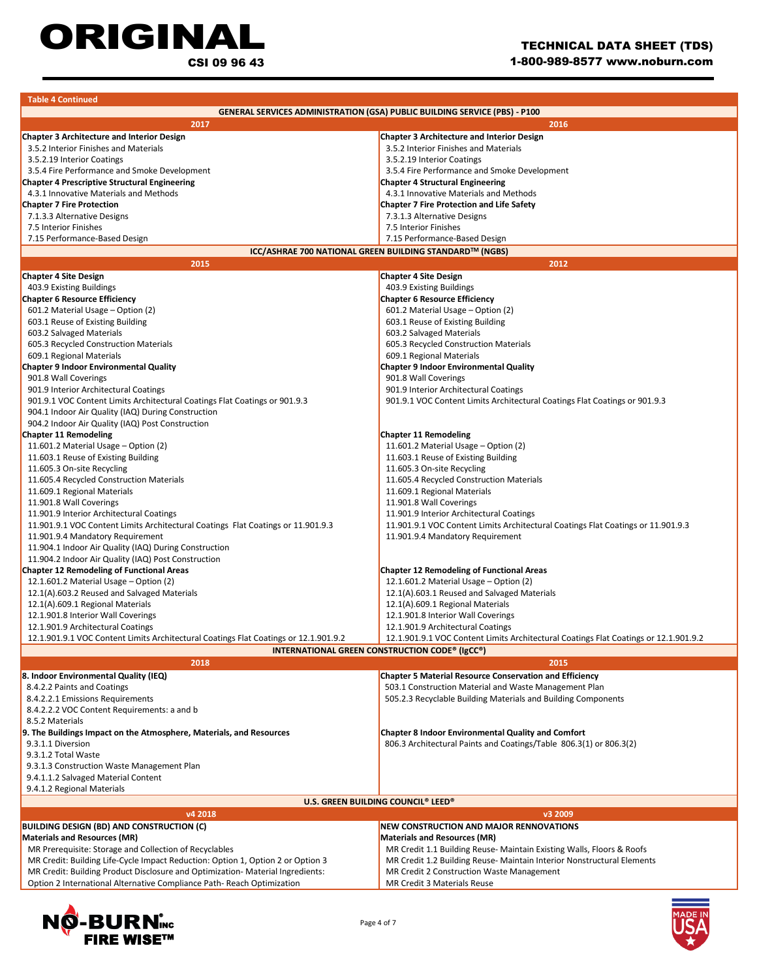ORIGINAL CSI 09 96 43

| <b>Table 4 Continued</b>                                                             |                                                                                      |  |  |
|--------------------------------------------------------------------------------------|--------------------------------------------------------------------------------------|--|--|
|                                                                                      | <b>GENERAL SERVICES ADMINISTRATION (GSA) PUBLIC BUILDING SERVICE (PBS) - P100</b>    |  |  |
| 2017                                                                                 | 2016                                                                                 |  |  |
| <b>Chapter 3 Architecture and Interior Design</b>                                    | <b>Chapter 3 Architecture and Interior Design</b>                                    |  |  |
| 3.5.2 Interior Finishes and Materials                                                | 3.5.2 Interior Finishes and Materials                                                |  |  |
| 3.5.2.19 Interior Coatings                                                           | 3.5.2.19 Interior Coatings                                                           |  |  |
| 3.5.4 Fire Performance and Smoke Development                                         | 3.5.4 Fire Performance and Smoke Development                                         |  |  |
| <b>Chapter 4 Prescriptive Structural Engineering</b>                                 | <b>Chapter 4 Structural Engineering</b>                                              |  |  |
| 4.3.1 Innovative Materials and Methods                                               | 4.3.1 Innovative Materials and Methods                                               |  |  |
| <b>Chapter 7 Fire Protection</b>                                                     | <b>Chapter 7 Fire Protection and Life Safety</b>                                     |  |  |
| 7.1.3.3 Alternative Designs                                                          | 7.3.1.3 Alternative Designs                                                          |  |  |
| 7.5 Interior Finishes                                                                | 7.5 Interior Finishes                                                                |  |  |
| 7.15 Performance-Based Design                                                        | 7.15 Performance-Based Design                                                        |  |  |
|                                                                                      | ICC/ASHRAE 700 NATIONAL GREEN BUILDING STANDARD™ (NGBS)                              |  |  |
| 2015                                                                                 | 2012                                                                                 |  |  |
| <b>Chapter 4 Site Design</b>                                                         | <b>Chapter 4 Site Design</b>                                                         |  |  |
| 403.9 Existing Buildings                                                             | 403.9 Existing Buildings                                                             |  |  |
| <b>Chapter 6 Resource Efficiency</b>                                                 | <b>Chapter 6 Resource Efficiency</b>                                                 |  |  |
| 601.2 Material Usage - Option (2)                                                    | 601.2 Material Usage - Option (2)                                                    |  |  |
| 603.1 Reuse of Existing Building                                                     | 603.1 Reuse of Existing Building                                                     |  |  |
| 603.2 Salvaged Materials                                                             | 603.2 Salvaged Materials                                                             |  |  |
| 605.3 Recycled Construction Materials                                                | 605.3 Recycled Construction Materials                                                |  |  |
| 609.1 Regional Materials                                                             | 609.1 Regional Materials                                                             |  |  |
| <b>Chapter 9 Indoor Environmental Quality</b>                                        | <b>Chapter 9 Indoor Environmental Quality</b>                                        |  |  |
| 901.8 Wall Coverings                                                                 | 901.8 Wall Coverings                                                                 |  |  |
| 901.9 Interior Architectural Coatings                                                | 901.9 Interior Architectural Coatings                                                |  |  |
| 901.9.1 VOC Content Limits Architectural Coatings Flat Coatings or 901.9.3           | 901.9.1 VOC Content Limits Architectural Coatings Flat Coatings or 901.9.3           |  |  |
| 904.1 Indoor Air Quality (IAQ) During Construction                                   |                                                                                      |  |  |
| 904.2 Indoor Air Quality (IAQ) Post Construction                                     |                                                                                      |  |  |
| <b>Chapter 11 Remodeling</b>                                                         | <b>Chapter 11 Remodeling</b>                                                         |  |  |
| 11.601.2 Material Usage - Option (2)                                                 | 11.601.2 Material Usage - Option (2)                                                 |  |  |
| 11.603.1 Reuse of Existing Building                                                  | 11.603.1 Reuse of Existing Building                                                  |  |  |
| 11.605.3 On-site Recycling                                                           | 11.605.3 On-site Recycling                                                           |  |  |
| 11.605.4 Recycled Construction Materials                                             | 11.605.4 Recycled Construction Materials                                             |  |  |
| 11.609.1 Regional Materials                                                          | 11.609.1 Regional Materials                                                          |  |  |
| 11.901.8 Wall Coverings                                                              | 11.901.8 Wall Coverings                                                              |  |  |
| 11.901.9 Interior Architectural Coatings                                             | 11.901.9 Interior Architectural Coatings                                             |  |  |
| 11.901.9.1 VOC Content Limits Architectural Coatings Flat Coatings or 11.901.9.3     | 11.901.9.1 VOC Content Limits Architectural Coatings Flat Coatings or 11.901.9.3     |  |  |
| 11.901.9.4 Mandatory Requirement                                                     | 11.901.9.4 Mandatory Requirement                                                     |  |  |
| 11.904.1 Indoor Air Quality (IAQ) During Construction                                |                                                                                      |  |  |
| 11.904.2 Indoor Air Quality (IAQ) Post Construction                                  |                                                                                      |  |  |
| <b>Chapter 12 Remodeling of Functional Areas</b>                                     | <b>Chapter 12 Remodeling of Functional Areas</b>                                     |  |  |
| 12.1.601.2 Material Usage - Option (2)                                               | 12.1.601.2 Material Usage - Option (2)                                               |  |  |
| 12.1(A).603.2 Reused and Salvaged Materials                                          | 12.1(A).603.1 Reused and Salvaged Materials                                          |  |  |
| 12.1(A).609.1 Regional Materials                                                     | 12.1(A).609.1 Regional Materials                                                     |  |  |
| 12.1.901.8 Interior Wall Coverings                                                   | 12.1.901.8 Interior Wall Coverings                                                   |  |  |
| 12.1.901.9 Architectural Coatings                                                    | 12.1.901.9 Architectural Coatings                                                    |  |  |
| 12.1.901.9.1 VOC Content Limits Architectural Coatings Flat Coatings or 12.1.901.9.2 | 12.1.901.9.1 VOC Content Limits Architectural Coatings Flat Coatings or 12.1.901.9.2 |  |  |
| <b>INTERNATIONAL GREEN CONSTRUCTION CODE® (IgCC®)</b>                                |                                                                                      |  |  |
| 2018                                                                                 | 2015                                                                                 |  |  |
| 8. Indoor Environmental Quality (IEQ)                                                | <b>Chapter 5 Material Resource Conservation and Efficiency</b>                       |  |  |
| 8.4.2.2 Paints and Coatings                                                          | 503.1 Construction Material and Waste Management Plan                                |  |  |
| 8.4.2.2.1 Emissions Requirements                                                     | 505.2.3 Recyclable Building Materials and Building Components                        |  |  |
| 8.4.2.2.2 VOC Content Requirements: a and b                                          |                                                                                      |  |  |
| 8.5.2 Materials                                                                      |                                                                                      |  |  |
| 9. The Buildings Impact on the Atmosphere, Materials, and Resources                  | <b>Chapter 8 Indoor Environmental Quality and Comfort</b>                            |  |  |
| 9.3.1.1 Diversion                                                                    | 806.3 Architectural Paints and Coatings/Table 806.3(1) or 806.3(2)                   |  |  |
| 9.3.1.2 Total Waste                                                                  |                                                                                      |  |  |
| 9.3.1.3 Construction Waste Management Plan                                           |                                                                                      |  |  |
| 9.4.1.1.2 Salvaged Material Content                                                  |                                                                                      |  |  |
| 9.4.1.2 Regional Materials                                                           |                                                                                      |  |  |
|                                                                                      | U.S. GREEN BUILDING COUNCIL® LEED®                                                   |  |  |
| v4 2018                                                                              | v3 2009                                                                              |  |  |
| <b>BUILDING DESIGN (BD) AND CONSTRUCTION (C)</b>                                     | <b>NEW CONSTRUCTION AND MAJOR RENNOVATIONS</b>                                       |  |  |
| <b>Materials and Resources (MR)</b>                                                  | <b>Materials and Resources (MR)</b>                                                  |  |  |
| MR Prerequisite: Storage and Collection of Recyclables                               | MR Credit 1.1 Building Reuse- Maintain Existing Walls, Floors & Roofs                |  |  |
| MR Credit: Building Life-Cycle Impact Reduction: Option 1, Option 2 or Option 3      | MR Credit 1.2 Building Reuse- Maintain Interior Nonstructural Elements               |  |  |
| MR Credit: Building Product Disclosure and Optimization- Material Ingredients:       | MR Credit 2 Construction Waste Management                                            |  |  |
| Option 2 International Alternative Compliance Path-Reach Optimization                | MR Credit 3 Materials Reuse                                                          |  |  |



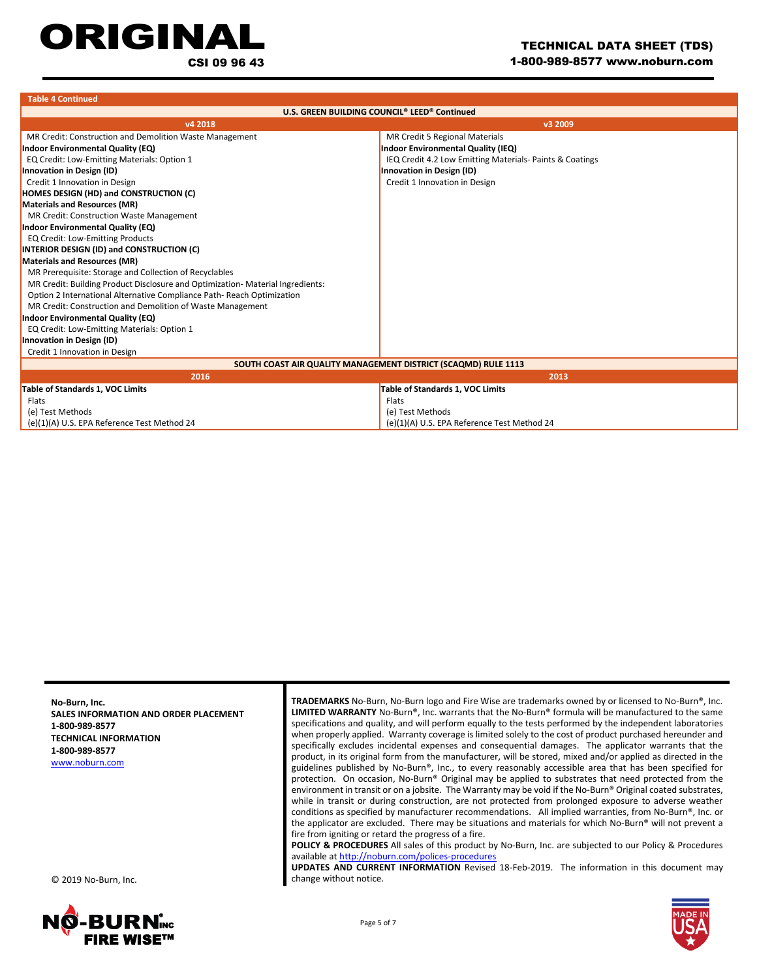## **ORIGINA**

CSI 09 96 43

| <b>Table 4 Continued</b>                                                       |                                                         |  |  |
|--------------------------------------------------------------------------------|---------------------------------------------------------|--|--|
| U.S. GREEN BUILDING COUNCIL <sup>®</sup> LEED <sup>®</sup> Continued           |                                                         |  |  |
| v4 2018<br>v3 2009                                                             |                                                         |  |  |
| MR Credit: Construction and Demolition Waste Management                        | MR Credit 5 Regional Materials                          |  |  |
| <b>Indoor Environmental Quality (EQ)</b>                                       | Indoor Environmental Quality (IEQ)                      |  |  |
| EQ Credit: Low-Emitting Materials: Option 1                                    | IEQ Credit 4.2 Low Emitting Materials-Paints & Coatings |  |  |
| Innovation in Design (ID)                                                      | Innovation in Design (ID)                               |  |  |
| Credit 1 Innovation in Design                                                  | Credit 1 Innovation in Design                           |  |  |
| HOMES DESIGN (HD) and CONSTRUCTION (C)                                         |                                                         |  |  |
| <b>Materials and Resources (MR)</b>                                            |                                                         |  |  |
| MR Credit: Construction Waste Management                                       |                                                         |  |  |
| <b>Indoor Environmental Quality (EQ)</b>                                       |                                                         |  |  |
| <b>EQ Credit: Low-Emitting Products</b>                                        |                                                         |  |  |
| <b>INTERIOR DESIGN (ID) and CONSTRUCTION (C)</b>                               |                                                         |  |  |
| <b>Materials and Resources (MR)</b>                                            |                                                         |  |  |
| MR Prerequisite: Storage and Collection of Recyclables                         |                                                         |  |  |
| MR Credit: Building Product Disclosure and Optimization- Material Ingredients: |                                                         |  |  |
| Option 2 International Alternative Compliance Path-Reach Optimization          |                                                         |  |  |
| MR Credit: Construction and Demolition of Waste Management                     |                                                         |  |  |
| Indoor Environmental Quality (EQ)                                              |                                                         |  |  |
| EQ Credit: Low-Emitting Materials: Option 1                                    |                                                         |  |  |
| <b>Innovation in Design (ID)</b>                                               |                                                         |  |  |
| Credit 1 Innovation in Design                                                  |                                                         |  |  |
| SOUTH COAST AIR QUALITY MANAGEMENT DISTRICT (SCAQMD) RULE 1113                 |                                                         |  |  |
| 2016                                                                           | 2013                                                    |  |  |
| Table of Standards 1, VOC Limits                                               | Table of Standards 1, VOC Limits                        |  |  |
| Flats                                                                          | Flats                                                   |  |  |
| (e) Test Methods                                                               | (e) Test Methods                                        |  |  |
| (e)(1)(A) U.S. EPA Reference Test Method 24                                    | (e)(1)(A) U.S. EPA Reference Test Method 24             |  |  |

**No-Burn, Inc. SALES INFORMATION AND ORDER PLACEMENT 1-800-989-8577 TECHNICAL INFORMATION 1-800-989-8577** [www.noburn.com](http://www.noburn.com/)

© 2019 No-Burn, Inc.



**TRADEMARKS** No-Burn, No-Burn logo and Fire Wise are trademarks owned by or licensed to No-Burn®, Inc. **LIMITED WARRANTY** No-Burn®, Inc. warrants that the No-Burn® formula will be manufactured to the same specifications and quality, and will perform equally to the tests performed by the independent laboratories when properly applied. Warranty coverage is limited solely to the cost of product purchased hereunder and specifically excludes incidental expenses and consequential damages. The applicator warrants that the product, in its original form from the manufacturer, will be stored, mixed and/or applied as directed in the guidelines published by No-Burn®, Inc., to every reasonably accessible area that has been specified for protection. On occasion, No‐Burn® Original may be applied to substrates that need protected from the environment in transit or on a jobsite. The Warranty may be void if the No-Burn® Original coated substrates, while in transit or during construction, are not protected from prolonged exposure to adverse weather conditions as specified by manufacturer recommendations. All implied warranties, from No-Burn®, Inc. or the applicator are excluded. There may be situations and materials for which No-Burn® will not prevent a fire from igniting or retard the progress of a fire.

**POLICY & PROCEDURES** All sales of this product by No-Burn, Inc. are subjected to our Policy & Procedures available a[t http://noburn.com/polices-procedures](http://noburn.com/polices-procedures)

**UPDATES AND CURRENT INFORMATION** Revised 18-Feb-2019. The information in this document may change without notice.

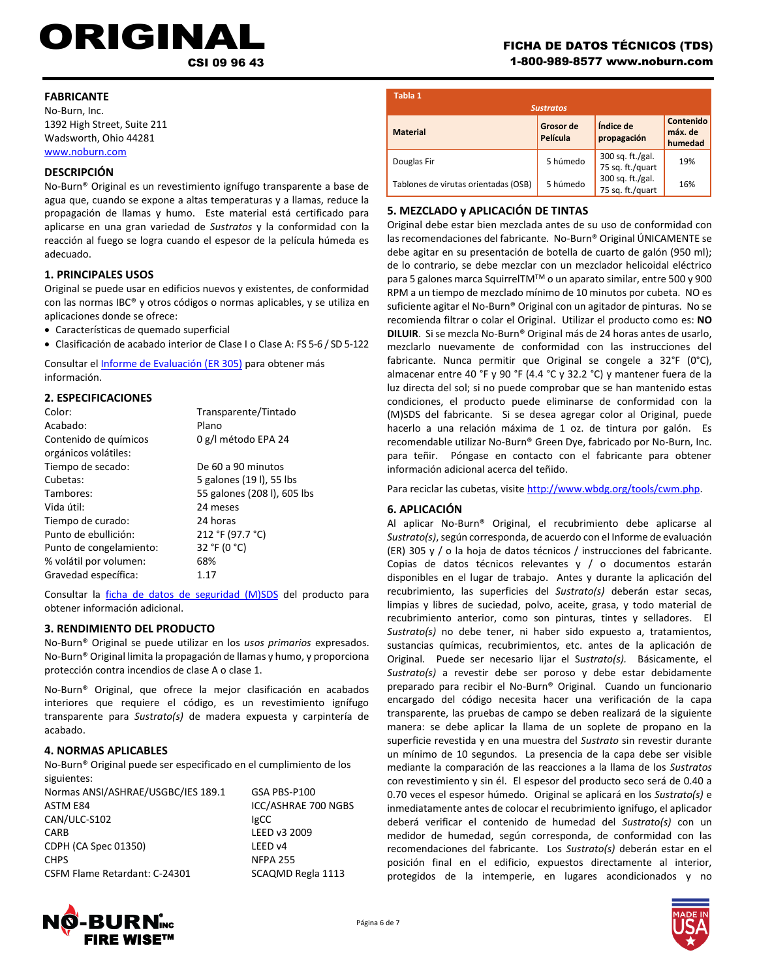# ORIGINAL FICHA DE DATOS TÉCNICOS (TDS)<br>CSI 09 96 43<br>1-800-989-8577 www.noburn.com

### **FABRICANTE**

No-Burn, Inc. 1392 High Street, Suite 211 Wadsworth, Ohio 44281 [www.noburn.com](http://www.noburn.com/)

### **DESCRIPCIÓN**

No-Burn® Original es un revestimiento ignífugo transparente a base de agua que, cuando se expone a altas temperaturas y a llamas, reduce la propagación de llamas y humo. Este material está certificado para aplicarse en una gran variedad de *Sustratos* y la conformidad con la reacción al fuego se logra cuando el espesor de la película húmeda es adecuado.

### **1. PRINCIPALES USOS**

Original se puede usar en edificios nuevos y existentes, de conformidad con las normas IBC® y otros códigos o normas aplicables, y se utiliza en aplicaciones donde se ofrece:

- Características de quemado superficial
- Clasificación de acabado interior de Clase I o Clase A: FS 5-6 / SD 5-122

Consultar el *Informe de Evaluación (ER 305)* para obtener más información.

### **2. ESPECIFICACIONES**

| Color:<br>Acabado:                            | Transparente/Tintado<br>Plano |
|-----------------------------------------------|-------------------------------|
| Contenido de químicos<br>orgánicos volátiles: | 0 g/l método EPA 24           |
| Tiempo de secado:                             | De 60 a 90 minutos            |
| Cubetas:                                      | 5 galones (191), 55 lbs       |
| Tambores:                                     | 55 galones (208 l), 605 lbs   |
| Vida útil:                                    | 24 meses                      |
| Tiempo de curado:                             | 24 horas                      |
| Punto de ebullición:                          | 212 °F (97.7 °C)              |
| Punto de congelamiento:                       | 32 °F (0 °C)                  |
| % volátil por volumen:                        | 68%                           |
| Gravedad específica:                          | 1.17                          |

Consultar la [ficha de datos de seguridad \(M\)SDS](http://noburn.com/images/pdf/originalmsds.pdf) del producto para obtener información adicional.

### **3. RENDIMIENTO DEL PRODUCTO**

No-Burn® Original se puede utilizar en los *usos primarios* expresados. No-Burn® Original limita la propagación de llamas y humo, y proporciona protección contra incendios de clase A o clase 1.

No-Burn® Original, que ofrece la mejor clasificación en acabados interiores que requiere el código, es un revestimiento ignífugo transparente para *Sustrato(s)* de madera expuesta y carpintería de acabado.

### **4. NORMAS APLICABLES**

No-Burn® Original puede ser especificado en el cumplimiento de los siguientes:

| ICC/ASHRAE 700 NGBS |
|---------------------|
|                     |
|                     |
|                     |
|                     |
| SCAQMD Regla 1113   |
|                     |

### 1-800-989-8577 www.noburn.com

| Tabla 1                              |                                           |                                      |                                 |
|--------------------------------------|-------------------------------------------|--------------------------------------|---------------------------------|
| <b>Material</b>                      | <b>Sustratos</b><br>Grosor de<br>Película | Índice de<br>propagación             | Contenido<br>máx. de<br>humedad |
| Douglas Fir                          | 5 húmedo                                  | 300 sq. ft./gal.<br>75 sq. ft./quart | 19%                             |
| Tablones de virutas orientadas (OSB) | 5 húmedo                                  | 300 sq. ft./gal.<br>75 sq. ft./quart | 16%                             |

### **5. MEZCLADO y APLICACIÓN DE TINTAS**

Original debe estar bien mezclada antes de su uso de conformidad con las recomendaciones del fabricante. No-Burn® Original ÚNICAMENTE se debe agitar en su presentación de botella de cuarto de galón (950 ml); de lo contrario, se debe mezclar con un mezclador helicoidal eléctrico para 5 galones marca SquirrelTM™ o un aparato similar, entre 500 y 900 RPM a un tiempo de mezclado mínimo de 10 minutos por cubeta. NO es suficiente agitar el No-Burn® Original con un agitador de pinturas. No se recomienda filtrar o colar el Original. Utilizar el producto como es: **NO DILUIR**. Si se mezcla No-Burn® Original más de 24 horas antes de usarlo, mezclarlo nuevamente de conformidad con las instrucciones del fabricante. Nunca permitir que Original se congele a 32°F (0°C), almacenar entre 40 °F y 90 °F (4.4 °C y 32.2 °C) y mantener fuera de la luz directa del sol; si no puede comprobar que se han mantenido estas condiciones, el producto puede eliminarse de conformidad con la (M)SDS del fabricante. Si se desea agregar color al Original, puede hacerlo a una relación máxima de 1 oz. de tintura por galón. Es recomendable utilizar No-Burn® Green Dye, fabricado por No-Burn, Inc. para teñir. Póngase en contacto con el fabricante para obtener información adicional acerca del teñido.

Para reciclar las cubetas, visite http://www.wbdg.org/tools/cwm.php.

### **6. APLICACIÓN**

Ì

Al aplicar No-Burn® Original, el recubrimiento debe aplicarse al *Sustrato(s)*, según corresponda, de acuerdo con el Informe de evaluación (ER) 305 y / o la hoja de datos técnicos / instrucciones del fabricante. Copias de datos técnicos relevantes y / o documentos estarán disponibles en el lugar de trabajo. Antes y durante la aplicación del recubrimiento, las superficies del *Sustrato(s)* deberán estar secas, limpias y libres de suciedad, polvo, aceite, grasa, y todo material de recubrimiento anterior, como son pinturas, tintes y selladores. El *Sustrato(s)* no debe tener, ni haber sido expuesto a, tratamientos, sustancias químicas, recubrimientos, etc. antes de la aplicación de Original. Puede ser necesario lijar el S*ustrato(s).* Básicamente, el *Sustrato(s)* a revestir debe ser poroso y debe estar debidamente preparado para recibir el No-Burn® Original. Cuando un funcionario encargado del código necesita hacer una verificación de la capa transparente, las pruebas de campo se deben realizará de la siguiente manera: se debe aplicar la llama de un soplete de propano en la superficie revestida y en una muestra del *Sustrato* sin revestir durante un mínimo de 10 segundos. La presencia de la capa debe ser visible mediante la comparación de las reacciones a la llama de los *Sustratos* con revestimiento y sin él. El espesor del producto seco será de 0.40 a 0.70 veces el espesor húmedo. Original se aplicará en los *Sustrato(s)* e inmediatamente antes de colocar el recubrimiento ignifugo, el aplicador deberá verificar el contenido de humedad del *Sustrato(s)* con un medidor de humedad, según corresponda, de conformidad con las recomendaciones del fabricante. Los *Sustrato(s)* deberán estar en el posición final en el edificio, expuestos directamente al interior, protegidos de la intemperie, en lugares acondicionados y no